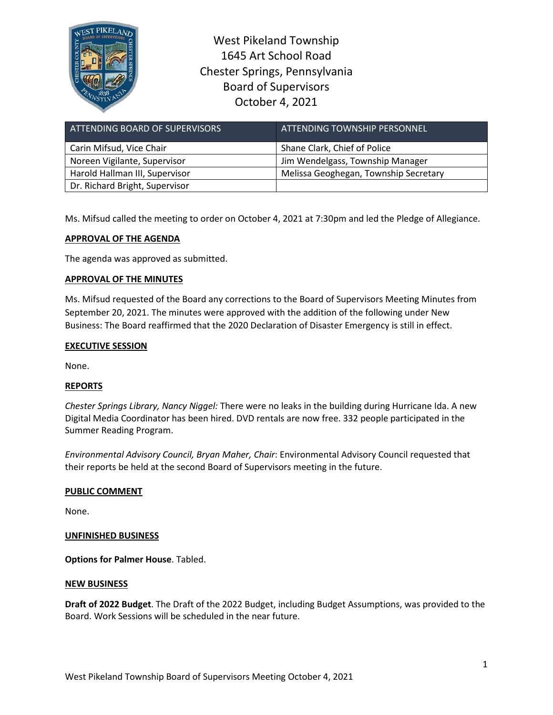

West Pikeland Township 1645 Art School Road Chester Springs, Pennsylvania Board of Supervisors October 4, 2021

| ATTENDING BOARD OF SUPERVISORS | ATTENDING TOWNSHIP PERSONNEL          |
|--------------------------------|---------------------------------------|
| Carin Mifsud, Vice Chair       | Shane Clark, Chief of Police          |
| Noreen Vigilante, Supervisor   | Jim Wendelgass, Township Manager      |
| Harold Hallman III, Supervisor | Melissa Geoghegan, Township Secretary |
| Dr. Richard Bright, Supervisor |                                       |

Ms. Mifsud called the meeting to order on October 4, 2021 at 7:30pm and led the Pledge of Allegiance.

# **APPROVAL OF THE AGENDA**

The agenda was approved as submitted.

## **APPROVAL OF THE MINUTES**

Ms. Mifsud requested of the Board any corrections to the Board of Supervisors Meeting Minutes from September 20, 2021. The minutes were approved with the addition of the following under New Business: The Board reaffirmed that the 2020 Declaration of Disaster Emergency is still in effect.

#### **EXECUTIVE SESSION**

None.

## **REPORTS**

*Chester Springs Library, Nancy Niggel:* There were no leaks in the building during Hurricane Ida. A new Digital Media Coordinator has been hired. DVD rentals are now free. 332 people participated in the Summer Reading Program.

*Environmental Advisory Council, Bryan Maher, Chair*: Environmental Advisory Council requested that their reports be held at the second Board of Supervisors meeting in the future.

## **PUBLIC COMMENT**

None.

#### **UNFINISHED BUSINESS**

**Options for Palmer House**. Tabled.

#### **NEW BUSINESS**

**Draft of 2022 Budget**. The Draft of the 2022 Budget, including Budget Assumptions, was provided to the Board. Work Sessions will be scheduled in the near future.